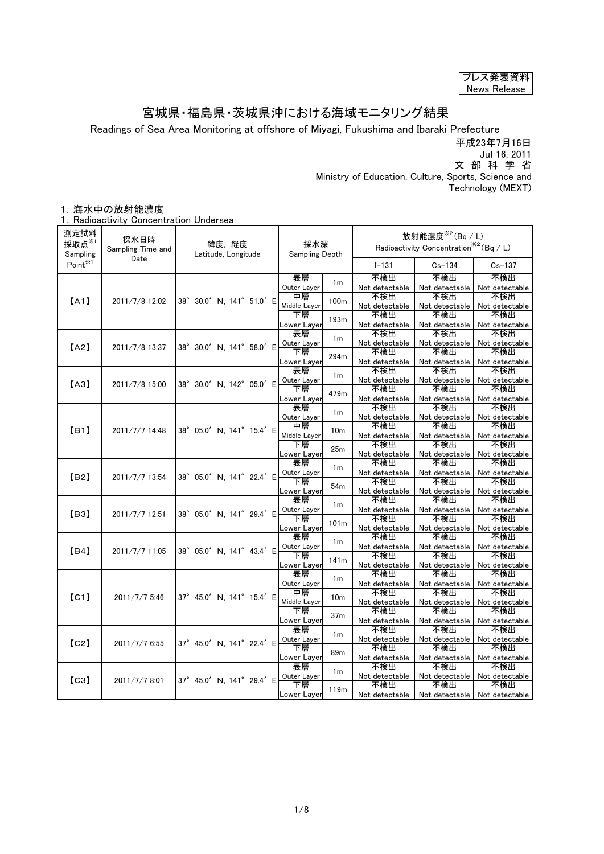| プレス発表資料      |
|--------------|
| News Release |

## 宮城県・福島県・茨城県沖における海域モニタリング結果

Readings of Sea Area Monitoring at offshore of Miyagi, Fukushima and Ibaraki Prefecture

平成23年7月16日 Jul 16, 2011

文 部 科 学 省

 Ministry of Education, Culture, Sports, Science and Technology (MEXT)

## 1.海水中の放射能濃度

1. Radioactivity Concentration Undersea

| 測定試料<br>採取点※1<br>Sampling | 採水日時<br>Sampling Time and<br>Date | 緯度,経度<br>Latitude, Longitude | 採水深<br>Sampling Depth                  |                       | 放射能濃度 $*$ <sup>2</sup> (Bq / L)<br>Radioactivity Concentration <sup>362</sup> (Bq / L) |                               |
|---------------------------|-----------------------------------|------------------------------|----------------------------------------|-----------------------|----------------------------------------------------------------------------------------|-------------------------------|
| Point <sup>*1</sup>       |                                   |                              |                                        | $I - 131$             | $Cs - 134$                                                                             | $Cs - 137$                    |
|                           |                                   |                              | 表層<br>1 <sub>m</sub>                   | 不検出                   | 不検出                                                                                    | 不検出                           |
|                           |                                   |                              | Outer Layer                            | Not detectable        | Not detectable                                                                         | Not detectable                |
| [A1]                      | 2011/7/8 12:02                    | 38° 30.0' N, 141° 51.0' E    | 中層<br>100 <sub>m</sub><br>Middle Layer | 不検出                   | 不検出                                                                                    | 不検出                           |
|                           |                                   |                              | 下層                                     | Not detectable<br>不検出 | Not detectable<br>不検出                                                                  | Not detectable<br>不検出         |
|                           |                                   |                              | 193m<br>Lower Layer                    | Not detectable        | Not detectable                                                                         | Not detectable                |
|                           |                                   |                              | 表層                                     | 不検出                   | 不検出                                                                                    | 不検出                           |
|                           |                                   |                              | 1 <sub>m</sub><br>Outer Layer          | Not detectable        | Not detectable                                                                         | Not detectable                |
| [A2]                      | 2011/7/8 13:37                    | 38° 30.0' N, 141° 58.0' E    | 下層                                     | 不検出                   | 不検出                                                                                    | 不検出                           |
|                           |                                   |                              | 294m<br>Lower Layer                    | Not detectable        | Not detectable                                                                         | Not detectable                |
|                           |                                   |                              | 表層<br>1 <sub>m</sub>                   | 不検出                   | 不検出                                                                                    | 不検出                           |
| [AA]                      | 2011/7/8 15:00                    | 38° 30.0' N, 142° 05.0' E    | Outer Layer                            | Not detectable        | Not detectable                                                                         | Not detectable                |
|                           |                                   |                              | 下層<br>479m                             | 不検出                   | 不検出                                                                                    | 不検出                           |
|                           |                                   |                              | _ower Layer                            | Not detectable        | Not detectable                                                                         | Not detectable                |
|                           |                                   |                              | 表層<br>1 <sub>m</sub>                   | 不検出                   | 不検出                                                                                    | 不検出                           |
|                           |                                   |                              | Outer Layer                            | Not detectable        | Not detectable                                                                         | Not detectable                |
| [B1]                      | 2011/7/7 14:48                    | 38° 05.0' N, 141° 15.4' E    | 中層<br>10 <sub>m</sub>                  | 不検出                   | 不検出                                                                                    | 不検出                           |
|                           |                                   |                              | Middle Layer                           | Not detectable<br>不検出 | Not detectable<br>不検出                                                                  | Not detectable<br>不検出         |
|                           |                                   |                              | 下層<br>25m                              |                       |                                                                                        | Not detectable                |
|                           |                                   |                              | Lower Layer<br>表層                      | Not detectable<br>不検出 | Not detectable<br>不検出                                                                  | 不検出                           |
|                           |                                   |                              | 1 <sub>m</sub><br>Outer Layer          | Not detectable        | Not detectable                                                                         | Not detectable                |
| [ <sub>B2</sub> ]         | 2011/7/7 13:54                    | 38° 05.0' N. 141° 22.4' E    | 下層                                     | 不検出                   | 不検出                                                                                    | 不検出                           |
|                           |                                   |                              | 54 <sub>m</sub><br>Lower Layer         | Not detectable        | Not detectable                                                                         | Not detectable                |
|                           |                                   |                              | 表層                                     | 不検出                   | 不検出                                                                                    | 不検出                           |
|                           |                                   |                              | 1 <sub>m</sub><br>Outer Layer          | Not detectable        | Not detectable                                                                         | Not detectable                |
| [ <sub>B3</sub> ]         | 2011/7/7 12:51                    | 38° 05.0' N, 141° 29.4' E    | 下層<br>101 <sub>m</sub>                 | 不検出                   | 不検出                                                                                    | 不検出                           |
|                           |                                   |                              | ower Layer                             | Not detectable        | Not detectable                                                                         | Not detectable                |
|                           |                                   |                              | 表層<br>1 <sub>m</sub>                   | 不検出                   | 不検出                                                                                    | 不検出                           |
| [B4]                      | 2011/7/7 11:05                    | 38° 05.0' N. 141° 43.4' E    | Outer Layer                            | Not detectable        | Not detectable                                                                         | Not detectable                |
|                           |                                   |                              | 下層<br>141m                             | 不検出                   | 不検出                                                                                    | 不検出                           |
|                           |                                   |                              | ower Layer                             | Not detectable        | Not detectable                                                                         | Not detectable                |
|                           |                                   |                              | 表層<br>1 <sub>m</sub>                   | 不検出                   | 不検出                                                                                    | 不検出                           |
|                           |                                   |                              | Outer Layer<br>中層                      | Not detectable<br>不検出 | Not detectable<br>不検出                                                                  | Not detectable<br>不検出         |
| [CI]                      | 2011/7/7 5:46                     | 37° 45.0' N. 141° 15.4' E    | 10 <sub>m</sub><br>Middle Layer        | Not detectable        | Not detectable                                                                         | Not detectable                |
|                           |                                   |                              | 下層                                     | 不検出                   | 不検出                                                                                    | 不検出                           |
|                           |                                   |                              | 37 <sub>m</sub><br>Lower Layer         | Not detectable        | Not detectable                                                                         | Not detectable                |
|                           |                                   |                              | 表層                                     | 不検出                   | 不検出                                                                                    | 不検出                           |
| [C2]                      | 2011/7/7 6:55                     | 37° 45.0' N, 141° 22.4' E    | 1 <sub>m</sub><br>Outer Layer          | Not detectable        | Not detectable                                                                         | Not detectable                |
|                           |                                   |                              | 下層<br>89m                              | 不検出                   | 不検出                                                                                    | 不検出                           |
|                           |                                   |                              | Lower Layer                            | Not detectable        | Not detectable                                                                         | Not detectable                |
|                           |                                   |                              | 表層<br>1 <sub>m</sub>                   | 不検出                   | 不検出                                                                                    | 不検出                           |
| [C3]                      | 2011/7/7 8:01                     | 37° 45.0' N, 141° 29.4' E    | Outer Layer                            | Not detectable        | Not detectable                                                                         | Not detectable                |
|                           |                                   |                              | 下層<br>119 <sub>m</sub>                 | 不検出                   | 不検出                                                                                    | 不検出                           |
|                           |                                   |                              | Lower Layer                            | Not detectable        |                                                                                        | Not detectable Not detectable |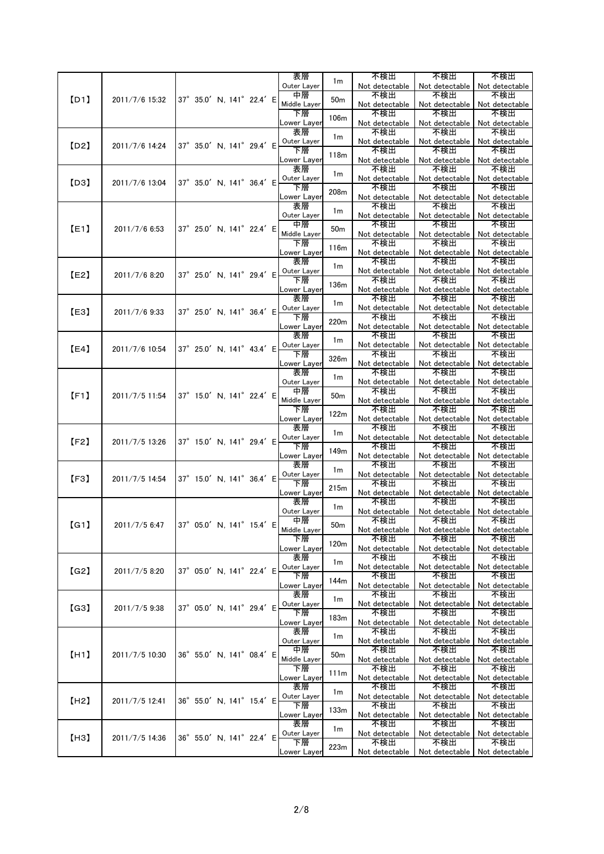|      |                                         |                           |  | 表層                 | 1 <sub>m</sub>   | 不検出                   | 不検出                   | 不検出                   |
|------|-----------------------------------------|---------------------------|--|--------------------|------------------|-----------------------|-----------------------|-----------------------|
|      |                                         |                           |  | Outer Layer        |                  | Not detectable        | Not detectable        | Not detectable        |
| [D1] | 2011/7/6 15:32                          | 37° 35.0' N, 141° 22.4' E |  | 中層<br>Middle Layer | 50 <sub>m</sub>  | 不検出<br>Not detectable | 不検出<br>Not detectable | 不検出<br>Not detectable |
|      |                                         |                           |  | 下層                 |                  | 不検出                   | 不検出                   | 不検出                   |
|      |                                         |                           |  | Lower Layer        | 106m             | Not detectable        | Not detectable        | Not detectable        |
|      |                                         |                           |  | 表層                 | 1m               | 不検出                   | 不検出                   | 不検出                   |
| [D2] | 2011/7/6 14:24                          | 37° 35.0' N, 141° 29.4' E |  | Outer Layer        |                  | Not detectable        | Not detectable        | Not detectable        |
|      |                                         |                           |  | 下層                 | 118m             | 不検出                   | 不検出                   | 不検出                   |
|      |                                         |                           |  | Lower Layer<br>表層  |                  | Not detectable<br>不検出 | Not detectable<br>不検出 | Not detectable<br>不検出 |
|      |                                         |                           |  | Outer Layer        | 1m               | Not detectable        | Not detectable        | Not detectable        |
| [D3] | 2011/7/6 13:04                          | 37° 35.0' N, 141° 36.4' E |  | 下層                 | 208m             | 不検出                   | 不検出                   | 不検出                   |
|      |                                         |                           |  | Lower Layer        |                  | Not detectable        | Not detectable        | Not detectable        |
|      |                                         |                           |  | 表層                 | 1 <sub>m</sub>   | 不検出                   | 不検出                   | 不検出                   |
|      |                                         |                           |  | Outer Layer<br>中層  |                  | Not detectable<br>不検出 | Not detectable<br>不検出 | Not detectable<br>不検出 |
| [E1] | 2011/7/6 6:53                           | 37° 25.0' N, 141° 22.4' E |  | Middle Layer       | 50 <sub>m</sub>  | Not detectable        | Not detectable        | Not detectable        |
|      |                                         |                           |  | 下層                 |                  | 不検出                   | 不検出                   | 不検出                   |
|      |                                         |                           |  | Lower Layer        | 116m             | Not detectable        | Not detectable        | Not detectable        |
|      |                                         |                           |  | 表層                 | 1 <sub>m</sub>   | 不検出                   | 不検出                   | 不検出                   |
| [E2] | 2011/7/6 8:20                           | 37° 25.0' N, 141° 29.4' E |  | Outer Layer<br>下層  |                  | Not detectable        | Not detectable<br>不検出 | Not detectable<br>不検出 |
|      |                                         |                           |  | Lower Layer        | 136m             | 不検出<br>Not detectable | Not detectable        | Not detectable        |
|      |                                         |                           |  | 表層                 |                  | 不検出                   | 不検出                   | 不検出                   |
|      |                                         | 37° 25.0' N, 141° 36.4' E |  | Outer Layer        | 1 <sub>m</sub>   | Not detectable        | Not detectable        | Not detectable        |
| [E3] | 2011/7/6 9:33                           |                           |  | 下層                 | 220m             | 不検出                   | 不検出                   | 不検出                   |
|      |                                         |                           |  | Lower Layer        |                  | Not detectable        | Not detectable        | Not detectable        |
|      |                                         |                           |  | 表層                 | 1 <sub>m</sub>   | 不検出                   | 不検出                   | 不検出                   |
| [E4] | 2011/7/6 10:54                          | 37° 25.0' N, 141° 43.4' E |  | Outer Layer<br>下層  |                  | Not detectable<br>不検出 | Not detectable<br>不検出 | Not detectable<br>不検出 |
|      |                                         |                           |  | Lower Layer        | 326m             | Not detectable        | Not detectable        | Not detectable        |
|      |                                         |                           |  | 表層                 |                  | 不検出                   | 不検出                   | 不検出                   |
|      |                                         |                           |  | Outer Layer        | 1 <sub>m</sub>   | Not detectable        | Not detectable        | Not detectable        |
| [F1] | 2011/7/5 11:54                          | 37° 15.0' N, 141° 22.4' E |  | 中層                 | 50 <sub>m</sub>  | 不検出                   | 不検出                   | 不検出                   |
|      |                                         |                           |  | Middle Layer       |                  | Not detectable        | Not detectable        | Not detectable        |
|      |                                         |                           |  | 下層<br>Lower Layer  | 122m             | 不検出<br>Not detectable | 不検出<br>Not detectable | 不検出<br>Not detectable |
|      |                                         |                           |  | 表層                 |                  | 不検出                   | 不検出                   | 不検出                   |
| [F2] |                                         | 37° 15.0' N, 141° 29.4' E |  | Outer Layer        | 1 <sub>m</sub>   | Not detectable        | Not detectable        | Not detectable        |
|      | 2011/7/5 13:26                          |                           |  | 下層                 | 149m             | 不検出                   | 不検出                   | 不検出                   |
|      |                                         |                           |  | Lower Layer        |                  | Not detectable        | Not detectable        | Not detectable        |
|      |                                         |                           |  | 表層<br>Outer Layer  | 1 <sub>m</sub>   | 不検出                   | 不検出                   | 不検出                   |
| [F3] | 2011/7/5 14:54                          | 37° 15.0' N, 141° 36.4' E |  | 下層                 |                  | Not detectable<br>不検出 | Not detectable<br>不検出 | Not detectable<br>不検出 |
|      |                                         |                           |  | Lower Layer        | 215m             | Not detectable        | Not detectable        | Not detectable        |
|      |                                         |                           |  | 表層                 | 1m               | 不検出                   | 不検出                   | 不検出                   |
|      |                                         |                           |  | Outer Layer        |                  | Not detectable        | Not detectable        | Not detectable        |
| [G1] | 2011/7/5 6:47 37° 05.0' N, 141° 15.4' E |                           |  | 中層                 | 50m              | 不検出                   | 不検出                   | 不検出                   |
|      |                                         |                           |  | Middle Layer<br>下層 |                  | Not detectable<br>不検出 | Not detectable<br>不検出 | Not detectable<br>不検出 |
|      |                                         |                           |  | Lower Layer        | 120 <sub>m</sub> | Not detectable        | Not detectable        | Not detectable        |
|      |                                         |                           |  | 表層                 |                  | 不検出                   | 不検出                   | 不検出                   |
| (G2) | 2011/7/5 8:20                           | 37° 05.0' N, 141° 22.4' E |  | Outer Layer        | 1 <sub>m</sub>   | Not detectable        | Not detectable        | Not detectable        |
|      |                                         |                           |  | 下層                 | 144m             | 不検出                   | 不検出                   | 不検出                   |
|      |                                         |                           |  | Lower Layer<br>表層  |                  | Not detectable<br>不検出 | Not detectable<br>不検出 | Not detectable<br>不検出 |
|      |                                         |                           |  | Outer Layer        | 1m               | Not detectable        | Not detectable        | Not detectable        |
| (G3) | 2011/7/5 9:38                           | 37° 05.0' N. 141° 29.4' E |  | 下層                 |                  | 不検出                   | 不検出                   | 不検出                   |
|      |                                         |                           |  | Lower Layer        | 183m             | Not detectable        | Not detectable        | Not detectable        |
|      |                                         |                           |  | 表層                 | 1 <sub>m</sub>   | 不検出                   | 不検出                   | 不検出                   |
|      |                                         |                           |  | Outer Layer        |                  | Not detectable        | Not detectable        | Not detectable        |
| [H1] | 2011/7/5 10:30                          | 36° 55.0' N, 141° 08.4' E |  | 中層<br>Middle Layer | 50 <sub>m</sub>  | 不検出<br>Not detectable | 不検出<br>Not detectable | 不検出<br>Not detectable |
|      |                                         |                           |  | 下層                 |                  | 不検出                   | 不検出                   | 不検出                   |
|      |                                         |                           |  | Lower Layer        | 111m             | Not detectable        | Not detectable        | Not detectable        |
|      |                                         |                           |  | 表層                 | 1 <sub>m</sub>   | 不検出                   | 不検出                   | 不検出                   |
| [H2] | 2011/7/5 12:41                          | 36° 55.0' N, 141° 15.4' E |  | Outer Layer        |                  | Not detectable        | Not detectable        | Not detectable        |
|      |                                         |                           |  | 下層                 | 133m             | 不検出                   | 不検出                   | 不検出                   |
|      |                                         |                           |  | ower Layer_<br>表層  |                  | Not detectable<br>不検出 | Not detectable<br>不検出 | Not detectable<br>不検出 |
|      |                                         |                           |  | Outer Layer        | 1 <sub>m</sub>   | Not detectable        | Not detectable        | Not detectable        |
| [H3] | 2011/7/5 14:36                          | 36° 55.0' N, 141° 22.4' E |  | 下層                 |                  | 不検出                   | 不検出                   | 不検出                   |
|      |                                         |                           |  | Lower Layer        | 223m             | Not detectable        | Not detectable        | Not detectable        |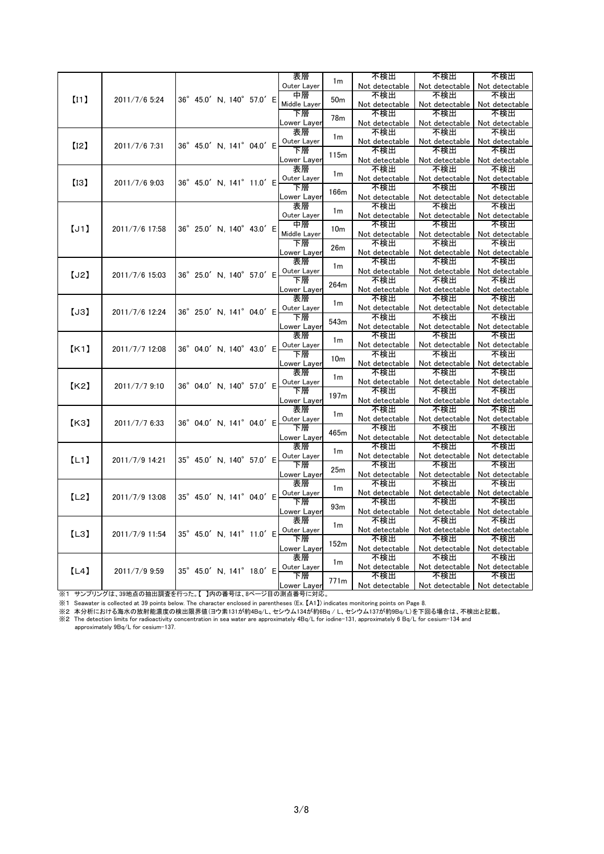|      |                |                            |  |  | 表層                |                  | 不検出                   | 不検出                                              | 不検出                   |
|------|----------------|----------------------------|--|--|-------------------|------------------|-----------------------|--------------------------------------------------|-----------------------|
|      |                |                            |  |  | Outer Layer       | 1 <sub>m</sub>   | Not detectable        | Not detectable                                   | Not detectable        |
|      |                |                            |  |  | 中層                |                  | 不検出                   | 不検出                                              | 不検出                   |
| [11] | 2011/7/6 5:24  | 36° 45.0' N, 140° 57.0' E  |  |  | Middle Layer      | 50 <sub>m</sub>  | Not detectable        | Not detectable                                   | Not detectable        |
|      |                |                            |  |  | 下層                |                  | 不検出                   | 不検出                                              | 不検出                   |
|      |                |                            |  |  | Lower Layer       | 78 <sub>m</sub>  | Not detectable        | Not detectable                                   | Not detectable        |
|      |                |                            |  |  | 表層                |                  | 不検出                   | 不検出                                              | 不検出                   |
|      |                |                            |  |  | Outer Layer       | 1 <sub>m</sub>   | Not detectable        | Not detectable                                   | Not detectable        |
| [12] | 2011/7/6 7:31  | 36° 45.0' N, 141° 04.0' E  |  |  | 下層                |                  | 不検出                   | 不検出                                              | 不検出                   |
|      |                |                            |  |  |                   | 115m             |                       |                                                  |                       |
|      |                |                            |  |  | Lower Layer<br>表層 |                  | Not detectable<br>不検出 | Not detectable<br>不検出                            | Not detectable<br>不検出 |
|      |                |                            |  |  |                   | 1 <sub>m</sub>   |                       |                                                  |                       |
| [13] | 2011/7/6 9:03  | 36° 45.0' N, 141° 11.0' E  |  |  | Outer Layer       |                  | Not detectable        | Not detectable                                   | Not detectable        |
|      |                |                            |  |  | 下層                | 166m             | 不検出                   | 不検出                                              | 不検出                   |
|      |                |                            |  |  | Lower Layer       |                  | Not detectable        | Not detectable                                   | Not detectable        |
|      |                |                            |  |  | 表層                | 1 <sub>m</sub>   | 不検出                   | 不検出                                              | 不検出                   |
|      |                |                            |  |  | Outer Layer       |                  | Not detectable        | Not detectable                                   | Not detectable        |
| [J1] | 2011/7/6 17:58 | 36° 25.0' N. 140° 43.0' E  |  |  | 中層                | 10 <sub>m</sub>  | 不検出                   | 不検出                                              | 不検出                   |
|      |                |                            |  |  | Middle Layer      |                  | Not detectable        | Not detectable                                   | Not detectable        |
|      |                |                            |  |  | 下層                | 26m              | 不検出                   | 不検出                                              | 不検出                   |
|      |                |                            |  |  | Lower Layer       |                  | Not detectable        | Not detectable                                   | Not detectable        |
|      |                |                            |  |  | 表層                | 1 <sub>m</sub>   | 不検出                   | 不検出                                              | 不検出                   |
| [J2] | 2011/7/6 15:03 | 36° 25.0' N, 140° 57.0' E  |  |  | Outer Layer       |                  | Not detectable        | Not detectable                                   | Not detectable        |
|      |                |                            |  |  | 下層                | 264m             | 不検出                   | 不検出                                              | 不検出                   |
|      |                |                            |  |  | Lower Layer       |                  | Not detectable        | Not detectable                                   | Not detectable        |
|      |                |                            |  |  | 表層                |                  | 不検出                   | 不検出                                              | 不検出                   |
|      |                |                            |  |  | Outer Layer       | 1 <sub>m</sub>   | Not detectable        | Not detectable                                   | Not detectable        |
| [J3] | 2011/7/6 12:24 | 36° 25.0' N, 141° 04.0' E  |  |  | 下層                |                  | 不検出                   | 不検出                                              | 不検出                   |
|      |                |                            |  |  | Lower Layer       | 543m             | Not detectable        | Not detectable                                   | Not detectable        |
|      |                |                            |  |  | 表層                |                  | 不検出                   | 不検出                                              | 不検出                   |
|      |                |                            |  |  | Outer Layer       | 1 <sub>m</sub>   | Not detectable        | Not detectable                                   | Not detectable        |
| K1   | 2011/7/7 12:08 | 36° 04.0' N, 140° 43.0' E  |  |  | 下層                |                  | 不検出                   | 不検出                                              | 不検出                   |
|      |                |                            |  |  | Lower Layer       | 10 <sub>m</sub>  | Not detectable        | Not detectable                                   | Not detectable        |
|      |                |                            |  |  | 表層                |                  | 不検出                   | 不検出                                              | 不検出                   |
|      |                |                            |  |  | Outer Layer       | 1 <sub>m</sub>   | Not detectable        | Not detectable                                   | Not detectable        |
| K2   | 2011/7/7 9:10  | 36° 04.0' N, 140° 57.0' E  |  |  | 下層                |                  | 不検出                   | 不検出                                              | 不検出                   |
|      |                |                            |  |  | Lower Layer       | 197 <sub>m</sub> | Not detectable        | Not detectable                                   | Not detectable        |
|      |                |                            |  |  | 表層                |                  | 不検出                   | 不検出                                              | 不検出                   |
|      |                |                            |  |  | Outer Layer       | 1 <sub>m</sub>   | Not detectable        | Not detectable                                   | Not detectable        |
| [K3] | 2011/7/7 6:33  | 36° 04.0' N. 141° 04.0' E  |  |  | 下層                |                  | 不検出                   | 不検出                                              | 不検出                   |
|      |                |                            |  |  | Lower Layer       | 465m             | Not detectable        | Not detectable                                   | Not detectable        |
|      |                |                            |  |  | 表層                |                  | 不検出                   | 不検出                                              | 不検出                   |
|      |                |                            |  |  | Outer Layer       | 1 <sub>m</sub>   | Not detectable        | Not detectable                                   | Not detectable        |
| [L1] | 2011/7/9 14:21 | 35° 45.0' N. 140° 57.0' E. |  |  | 下層                |                  | 不検出                   | 不検出                                              | 不検出                   |
|      |                |                            |  |  | Lower Layer       | 25m              | Not detectable        | Not detectable                                   | Not detectable        |
|      |                |                            |  |  | 表層                |                  | 不検出                   | 不検出                                              | 不検出                   |
|      |                |                            |  |  | Outer Layer       | 1 <sub>m</sub>   | Not detectable        | Not detectable                                   | Not detectable        |
| [L2] | 2011/7/9 13:08 | 35° 45.0' N. 141° 04.0' E  |  |  | 下層                |                  |                       |                                                  |                       |
|      |                |                            |  |  |                   | 93m              | 不検出                   | 不検出                                              | 不検出                   |
|      |                |                            |  |  | Lower Layer       |                  | Not detectable        | Not detectable                                   | Not detectable        |
|      |                |                            |  |  | 表層                | 1 <sub>m</sub>   | 不検出                   | 不検出                                              | 不検出                   |
| [L3] | 2011/7/9 11:54 | 35° 45.0' N, 141° 11.0' E  |  |  | Outer Layer       |                  | Not detectable        | Not detectable                                   | Not detectable        |
|      |                |                            |  |  | 下層                | 152m             | 不検出                   | 不検出                                              | 不検出                   |
|      |                |                            |  |  | Lower Layer       |                  | Not detectable        | Not detectable                                   | Not detectable        |
|      |                |                            |  |  | 表層                | 1 <sub>m</sub>   | 不検出                   | 不検出                                              | 不検出                   |
| [L4] | 2011/7/9 9:59  | 35° 45.0' N, 141° 18.0' E  |  |  | Outer Layer       |                  | Not detectable        | Not detectable                                   | Not detectable        |
|      |                |                            |  |  | 下層                | 771m             | 不検出                   | 不検出                                              | 不検出                   |
|      |                |                            |  |  | Lower Layer       |                  |                       | Not detectable   Not detectable   Not detectable |                       |

※1 サンプリングは、39地点の抽出調査を行った。【 】内の番号は、8ページ目の測点番号に対応。

※1 Seawater is collected at 39 points below. The character enclosed in parentheses (Ex. 【A1】) indicates monitoring points on Page 8.

※2 本分析における海水の放射能濃度の検出限界値(ヨウ素131が約4Bq/L、セシウム134が約6Bq / L、セシウム137が約9Bq/L)を下回る場合は、不検出と記載。<br>※2 The detection limits for radioactivity concentration in sea water are approximately 4Bq/L for iodine-131, approximately 6 Bq/L for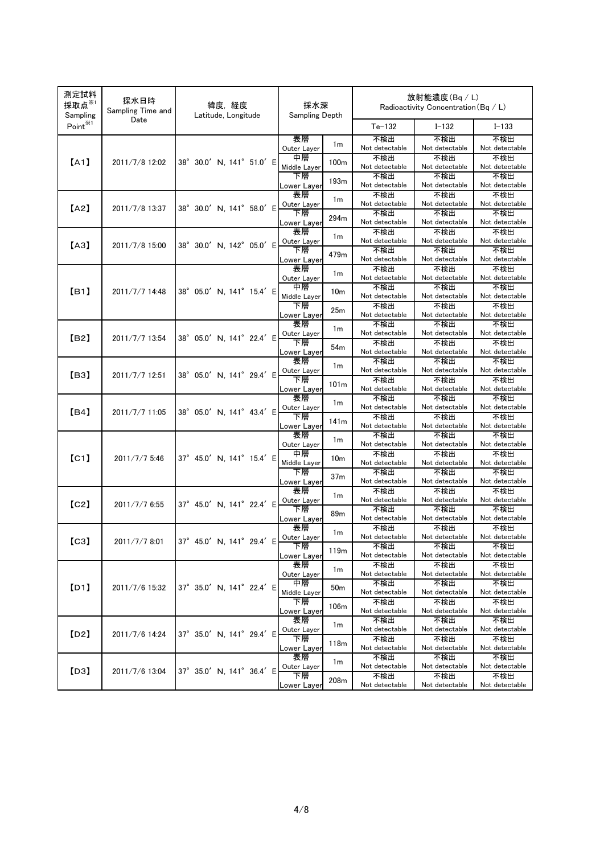| 測定試料<br>採取点 $x_1$<br>Sampling | 採水日時<br>Sampling Time and | 緯度,経度<br>Latitude, Longitude | 採水深<br><b>Sampling Depth</b>           | 放射能濃度(Bq/L)<br>Radioactivity Concentration (Bq / L) |                       |                       |
|-------------------------------|---------------------------|------------------------------|----------------------------------------|-----------------------------------------------------|-----------------------|-----------------------|
| Point <sup>*1</sup>           | Date                      |                              |                                        | $Te-132$                                            | $I - 132$             | $I - 133$             |
|                               |                           |                              | 表層<br>1 <sub>m</sub><br>Outer Layer    | 不検出<br>Not detectable                               | 不検出<br>Not detectable | 不検出<br>Not detectable |
| [A1]                          | 2011/7/8 12:02            | 38° 30.0' N, 141° 51.0' E    | 中層<br>100 <sub>m</sub><br>Middle Layer | 不検出<br>Not detectable                               | 不検出<br>Not detectable | 不検出<br>Not detectable |
|                               |                           |                              | 下層<br>193m                             | 不検出<br>Not detectable                               | 不検出<br>Not detectable | 不検出<br>Not detectable |
|                               |                           |                              | Lower Layer<br>表層<br>1 <sub>m</sub>    | 不検出                                                 | 不検出                   | 不検出                   |
| [A2]                          | 2011/7/8 13:37            | 38° 30.0' N, 141° 58.0' E    | Outer Layer<br>下層<br>294m              | Not detectable<br>不検出                               | Not detectable<br>不検出 | Not detectable<br>不検出 |
|                               |                           |                              | Lower Layer<br>表層                      | Not detectable<br>不検出                               | Not detectable<br>不検出 | Not detectable<br>不検出 |
| [A3]                          | 2011/7/8 15:00            | 38° 30.0' N, 142° 05.0' E    | 1 <sub>m</sub><br>Outer Layer<br>下層    | Not detectable<br>不検出                               | Not detectable<br>不検出 | Not detectable<br>不検出 |
|                               |                           |                              | 479m<br>ower Layer_                    | Not detectable                                      | Not detectable        | Not detectable        |
|                               |                           |                              | 表層<br>1 <sub>m</sub><br>Outer Layer    | 不検出<br>Not detectable                               | 不検出<br>Not detectable | 不検出<br>Not detectable |
| [B1]                          | 2011/7/7 14:48            | 38° 05.0' N, 141° 15.4' E    | 中層<br>10 <sub>m</sub><br>Middle Layer  | 不検出<br>Not detectable                               | 不検出<br>Not detectable | 不検出<br>Not detectable |
|                               |                           |                              | 下層<br>25m<br>Lower Layer               | 不検出<br>Not detectable                               | 不検出<br>Not detectable | 不検出<br>Not detectable |
|                               |                           |                              | 表層<br>1 <sub>m</sub>                   | 不検出                                                 | 不検出                   | 不検出                   |
| [B2]                          | 2011/7/7 13:54            | 38° 05.0' N, 141° 22.4' E    | Outer Layer<br>下層<br>54m               | Not detectable<br>不検出                               | Not detectable<br>不検出 | Not detectable<br>不検出 |
|                               |                           |                              | <u>-ower Lay</u> er<br>表層              | Not detectable<br>不検出                               | Not detectable<br>不検出 | Not detectable<br>不検出 |
| [B3]                          | 2011/7/7 12:51            | 38° 05.0' N, 141° 29.4' E    | 1 <sub>m</sub><br>Outer Layer<br>下層    | Not detectable<br>不検出                               | Not detectable<br>不検出 | Not detectable<br>不検出 |
|                               |                           |                              | 101 <sub>m</sub><br>Lower Layer        | Not detectable                                      | Not detectable        | Not detectable        |
| [B4]                          | 2011/7/7 11:05            | 38° 05.0' N, 141° 43.4' E    | 表層<br>1m<br>Outer Layer                | 不検出<br>Not detectable                               | 不検出<br>Not detectable | 不検出<br>Not detectable |
|                               |                           |                              | 下層<br>141m<br>Lower Layer              | 不検出<br>Not detectable                               | 不検出<br>Not detectable | 不検出<br>Not detectable |
|                               |                           |                              | 表層<br>1 <sub>m</sub><br>Outer Layer    | 不検出<br>Not detectable                               | 不検出<br>Not detectable | 不検出<br>Not detectable |
| [CI]                          | 2011/7/7 5:46             | 37° 45.0' N, 141° 15.4' E    | 中層<br>10 <sub>m</sub>                  | 不検出                                                 | 不検出                   | 不検出                   |
|                               |                           |                              | Middle Layer<br>下層<br>37m              | Not detectable<br>不検出                               | Not detectable<br>不検出 | Not detectable<br>不検出 |
|                               |                           |                              | Lower Layer<br>表層                      | Not detectable<br>不検出                               | Not detectable<br>不検出 | Not detectable<br>不検出 |
| [C2]                          | 2011/7/7 6:55             | 37° 45.0' N, 141° 22.4' E    | 1m<br>Outer Layer<br>下層                | Not detectable<br>不検出                               | Not detectable<br>不検出 | Not detectable<br>不検出 |
|                               |                           |                              | 89m<br>Lower Layer                     | Not detectable                                      | Not detectable        | Not detectable        |
| [C3]                          | 2011/7/7 8:01             | 37° 45.0' N, 141° 29.4' E    | 表層<br>1 <sub>m</sub><br>Outer Layer    | 不検出<br>Not detectable                               | 不検出<br>Not detectable | 不検出<br>Not detectable |
|                               |                           |                              | 下層<br>119m<br>Lower Layer              | 不検出<br>Not detectable                               | 不検出<br>Not detectable | 不検出<br>Not detectable |
|                               |                           |                              | 表層<br>1 <sub>m</sub><br>Outer Layer    | 不検出<br>Not detectable                               | 不検出<br>Not detectable | 不検出<br>Not detectable |
| [D1]                          | 2011/7/6 15:32            | 37° 35.0' N, 141° 22.4' E    | 中層<br>50m                              | 不検出                                                 | 不検出                   | 不検出                   |
|                               |                           |                              | Middle Layer<br>下層<br>106m             | Not detectable<br>不検出                               | Not detectable<br>不検出 | Not detectable<br>不検出 |
|                               |                           |                              | Lower Layer<br>表層                      | Not detectable<br>不検出                               | Not detectable<br>不検出 | Not detectable<br>不検出 |
| [D2]                          | 2011/7/6 14:24            | 37° 35.0' N, 141° 29.4' E    | 1 <sub>m</sub><br>Outer Layer<br>下層    | Not detectable<br>不検出                               | Not detectable<br>不検出 | Not detectable<br>不検出 |
|                               |                           |                              | 118m<br>Lower Layer                    | Not detectable                                      | Not detectable        | Not detectable        |
| [D3]                          | 2011/7/6 13:04            | 37° 35.0' N, 141° 36.4' E    | 表層<br>1 <sub>m</sub><br>Outer Layer    | 不検出<br>Not detectable                               | 不検出<br>Not detectable | 不検出<br>Not detectable |
|                               |                           |                              | 下層<br>208m<br>Lower Layer              | 不検出<br>Not detectable                               | 不検出<br>Not detectable | 不検出<br>Not detectable |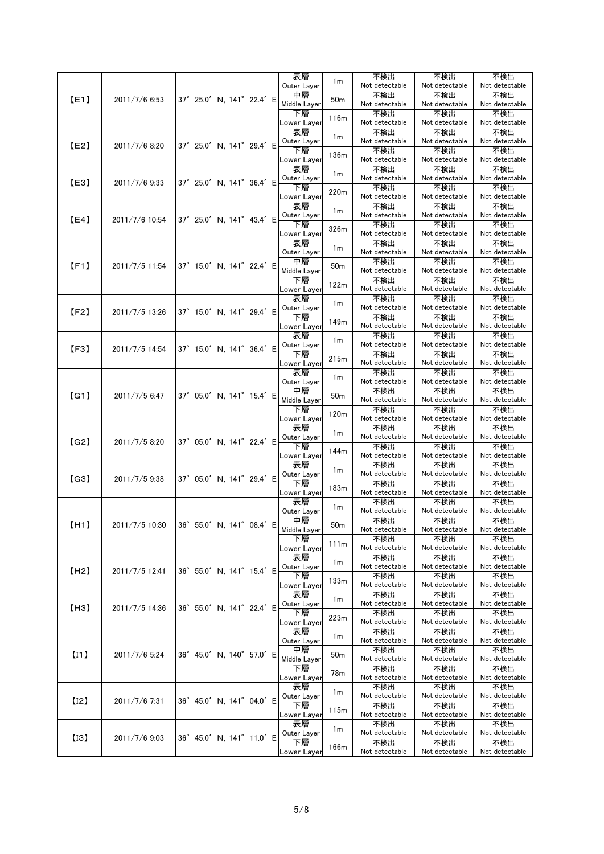|      |                |                                          | 表層                        | 1 <sub>m</sub>  | 不検出<br>Not detectable | 不検出<br>Not detectable | 不検出                   |
|------|----------------|------------------------------------------|---------------------------|-----------------|-----------------------|-----------------------|-----------------------|
|      |                |                                          | Outer Layer<br>中層         |                 | 不検出                   | 不検出                   | Not detectable<br>不検出 |
| [E1] | 2011/7/6 6:53  | 37° 25.0' N, 141° 22.4' E                | Middle Layer              | 50 <sub>m</sub> | Not detectable        | Not detectable        | Not detectable        |
|      |                |                                          | 下層<br>Lower Layer         | 116m            | 不検出<br>Not detectable | 不検出<br>Not detectable | 不検出<br>Not detectable |
|      |                |                                          | 表層                        |                 | 不検出                   | 不検出                   | 不検出                   |
| [E2] | 2011/7/6 8:20  | 37° 25.0' N, 141° 29.4' E                | Outer Layer               | 1m              | Not detectable        | Not detectable        | Not detectable        |
|      |                |                                          | 下層<br>Lower Layer         | 136m            | 不検出<br>Not detectable | 不検出<br>Not detectable | 不検出<br>Not detectable |
|      |                |                                          | 表層                        |                 | 不検出                   | 不検出                   | 不検出                   |
| [E3] | 2011/7/6 9:33  | 37° 25.0' N, 141° 36.4' E                | Outer Layer               | 1 <sub>m</sub>  | Not detectable        | Not detectable        | Not detectable        |
|      |                |                                          | 下層<br>Lower Layer         | 220m            | 不検出<br>Not detectable | 不検出<br>Not detectable | 不検出<br>Not detectable |
|      |                |                                          | 表層                        | 1 <sub>m</sub>  | 不検出                   | 不検出                   | 不検出                   |
| [E4] | 2011/7/6 10:54 | 37° 25.0' N, 141° 43.4' E                | Outer Layer               |                 | Not detectable        | Not detectable        | Not detectable        |
|      |                |                                          | 下層<br>ower Layer <u>.</u> | 326m            | 不検出<br>Not detectable | 不検出<br>Not detectable | 不検出<br>Not detectable |
|      |                |                                          | 表層                        | 1 <sub>m</sub>  | 不検出                   | 不検出                   | 不検出                   |
|      |                |                                          | Outer Layer<br>中層         |                 | Not detectable<br>不検出 | Not detectable<br>不検出 | Not detectable<br>不検出 |
| [F1] | 2011/7/5 11:54 | 37° 15.0' N, 141° 22.4' E                | Middle Layer              | 50 <sub>m</sub> | Not detectable        | Not detectable        | Not detectable        |
|      |                |                                          | 下層                        | 122m            | 不検出                   | 不検出                   | 不検出                   |
|      |                |                                          | Lower Layer<br>表層         |                 | Not detectable<br>不検出 | Not detectable<br>不検出 | Not detectable<br>不検出 |
| [F2] | 2011/7/5 13:26 | 37° 15.0' N, 141° 29.4' E                | Outer Layer               | 1m              | Not detectable        | Not detectable        | Not detectable        |
|      |                |                                          | 下層                        | 149m            | 不検出<br>Not detectable | 不検出<br>Not detectable | 不検出<br>Not detectable |
|      |                |                                          | Lower Layer<br>表層         |                 | 不検出                   | 不検出                   | 不検出                   |
| [F3] | 2011/7/5 14:54 | 37° 15.0' N, 141° 36.4' E                | Outer Layer               | 1 <sub>m</sub>  | Not detectable        | Not detectable        | Not detectable        |
|      |                |                                          | 下層<br>Lower Layer         | 215m            | 不検出<br>Not detectable | 不検出<br>Not detectable | 不検出<br>Not detectable |
|      |                |                                          | 表層                        | 1 <sub>m</sub>  | 不検出                   | 不検出                   | 不検出                   |
|      |                |                                          | Outer Layer<br>中層         |                 | Not detectable<br>不検出 | Not detectable<br>不検出 | Not detectable<br>不検出 |
| [G1] | 2011/7/5 6:47  | 37° 05.0' N, 141° 15.4' E                | Middle Layer              | 50 <sub>m</sub> | Not detectable        | Not detectable        | Not detectable        |
|      |                |                                          | 下層                        | 120m            | 不検出                   | 不検出                   | 不検出                   |
|      |                |                                          | Lower Layer<br>表層         |                 | Not detectable<br>不検出 | Not detectable<br>不検出 | Not detectable<br>不検出 |
| (G2) | 2011/7/5 8:20  | 37° 05.0' N, 141° 22.4' E                | Outer Layer               | 1m              | Not detectable        | Not detectable        | Not detectable        |
|      |                |                                          | 下層<br>Lower Layer         | 144m            | 不検出<br>Not detectable | 不検出<br>Not detectable | 不検出<br>Not detectable |
|      |                |                                          | 表層                        | 1m              | 不検出                   | 不検出                   | 不検出                   |
| (G3) | 2011/7/5 9:38  | 37° 05.0' N, 141° 29.4' E                | Outer Layer<br>下層         |                 | Not detectable<br>不検出 | Not detectable<br>不検出 | Not detectable<br>不検出 |
|      |                |                                          | Lower Layer               | 183m            | Not detectable        | Not detectable        | Not detectable        |
|      |                |                                          | 表層<br>Outer Layer         | 1 <sub>m</sub>  | 不検出<br>Not detectable | 不検出<br>Not detectable | 不検出<br>Not detectable |
|      |                | 2011/7/5 10.30 36° 55.0' N, 141° 08.4' E | 中層                        |                 | 不検出                   | 不検出                   | 不検出                   |
| (H1) |                |                                          | Middle Layer              | $50\mathrm{m}$  | Not detectable        | Not detectable        | Not detectable        |
|      |                |                                          | 下層<br>Lower Layer         | 111m            | 不検出<br>Not detectable | 不検出<br>Not detectable | 不検出<br>Not detectable |
|      |                |                                          | 表層                        | 1 <sub>m</sub>  | 不検出                   | 不検出                   | 不検出                   |
| [H2] | 2011/7/5 12:41 | 36° 55.0' N, 141° 15.4' E                | Outer Layer<br>下層         |                 | Not detectable<br>不検出 | Not detectable<br>不検出 | Not detectable<br>不検出 |
|      |                |                                          | Lower Layer               | 133m            | Not detectable        | Not detectable        | Not detectable        |
|      |                |                                          | 表層                        | 1 <sub>m</sub>  | 不検出<br>Not detectable | 不検出<br>Not detectable | 不検出<br>Not detectable |
| [H3] | 2011/7/5 14:36 | 36° 55.0' N, 141° 22.4' E                | Outer Layer<br>下層         |                 | 不検出                   | 不検出                   | 不検出                   |
|      |                |                                          | ∟ower Layer               | 223m            | Not detectable        | Not detectable        | Not detectable        |
|      |                |                                          | 表層<br>Outer Layer         | 1 <sub>m</sub>  | 不検出<br>Not detectable | 不検出<br>Not detectable | 不検出<br>Not detectable |
| [11] | 2011/7/6 5:24  | 36° 45.0' N, 140° 57.0' E                | 中層                        | 50 <sub>m</sub> | 不検出                   | 不検出                   | 不検出                   |
|      |                |                                          | Middle Layer<br>下層        |                 | Not detectable<br>不検出 | Not detectable<br>不検出 | Not detectable<br>不検出 |
|      |                |                                          | Lower Layer               | 78m             | Not detectable        | Not detectable        | Not detectable        |
|      |                |                                          | 表層<br>Outer Layer         | 1m              | 不検出<br>Not detectable | 不検出<br>Not detectable | 不検出<br>Not detectable |
| [12] | 2011/7/6 7:31  | 36° 45.0' N, 141° 04.0' E                | 下層                        | 115m            | 不検出                   | 不検出                   | 不検出                   |
|      |                |                                          | Lower Layer<br>表層         |                 | Not detectable<br>不検出 | Not detectable<br>不検出 | Not detectable<br>不検出 |
| [13] | 2011/7/6 9:03  | 36° 45.0' N, 141° 11.0' E                | Outer Layer               | 1 <sub>m</sub>  | Not detectable        | Not detectable        | Not detectable        |
|      |                |                                          | 下層                        | 166m            | 不検出                   | 不検出                   | 不検出                   |
|      |                |                                          | Lower Layer               |                 | Not detectable        | Not detectable        | Not detectable        |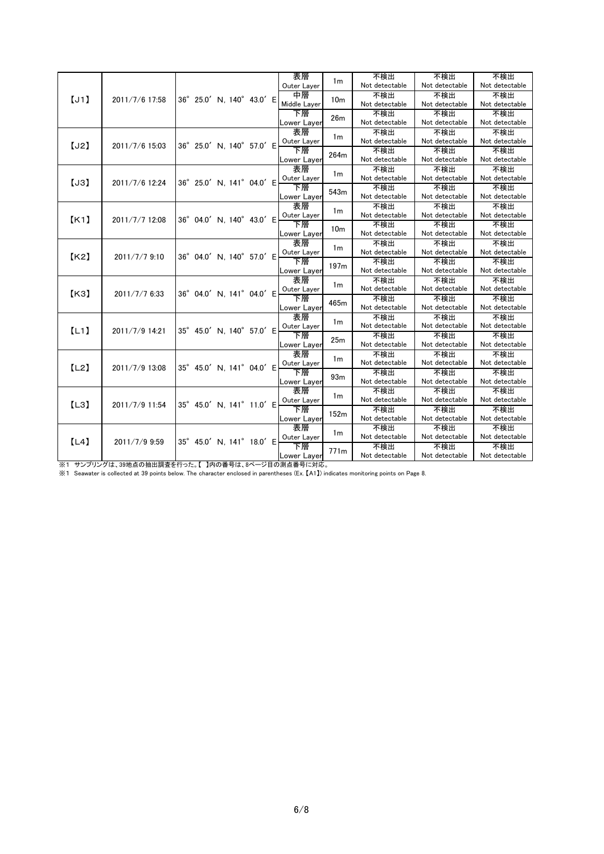|      |                |                           |  | 表層                |                 | 不検出                   | 不検出                   | 不検出                   |
|------|----------------|---------------------------|--|-------------------|-----------------|-----------------------|-----------------------|-----------------------|
|      |                |                           |  | Outer Layer       | 1 <sub>m</sub>  | Not detectable        | Not detectable        | Not detectable        |
| [J1] | 2011/7/6 17:58 | 36° 25.0' N, 140° 43.0' E |  | 中層                | 10 <sub>m</sub> | 不検出                   | 不検出                   | 不検出                   |
|      |                |                           |  | Middle Layer      |                 | Not detectable        | Not detectable        | Not detectable        |
|      |                |                           |  | 下層                | 26m             | 不検出                   | 不検出                   | 不検出                   |
|      |                |                           |  | Lower Layer       |                 | Not detectable        | Not detectable        | Not detectable        |
|      |                |                           |  | 表層                | 1 <sub>m</sub>  | 不検出                   | 不検出                   | 不検出                   |
| [J2] | 2011/7/6 15:03 | 36° 25.0' N, 140° 57.0' E |  | Outer Layer       |                 | Not detectable        | Not detectable        | Not detectable        |
|      |                |                           |  | 下層                | 264m            | 不検出                   | 不検出                   | 不検出                   |
|      |                |                           |  | Lower Layer       |                 | Not detectable        | Not detectable        | Not detectable        |
|      |                |                           |  | 表層                | 1 <sub>m</sub>  | 不検出                   | 不検出                   | 不検出                   |
| [J3] | 2011/7/6 12:24 | 36° 25.0' N, 141° 04.0' E |  | Outer Layer       |                 | Not detectable        | Not detectable        | Not detectable        |
|      |                |                           |  | 下層                | 543m            | 不検出                   | 不検出                   | 不検出                   |
|      |                |                           |  | Lower Layer       |                 | Not detectable        | Not detectable        | Not detectable        |
|      |                |                           |  | 表層                | 1 <sub>m</sub>  | 不検出                   | 不検出                   | 不検出                   |
| K1   | 2011/7/7 12:08 | 36° 04.0' N, 140° 43.0' E |  | Outer Layer       |                 | Not detectable        | Not detectable        | Not detectable        |
|      |                |                           |  | 下層                | 10 <sub>m</sub> | 不検出                   | 不検出                   | 不検出                   |
|      |                |                           |  | Lower Layer       |                 | Not detectable        | Not detectable        | Not detectable        |
|      |                |                           |  | 表層                | 1 <sub>m</sub>  | 不検出                   | 不検出                   | 不検出                   |
| K2   | 2011/7/7 9:10  | 36° 04.0' N. 140° 57.0' E |  | Outer Layer       |                 | Not detectable        | Not detectable        | Not detectable        |
|      |                |                           |  | 下層                | 197m            | 不検出                   | 不検出                   | 不検出                   |
|      |                |                           |  | Lower Layer       |                 | Not detectable        | Not detectable        | Not detectable        |
|      |                |                           |  | 表層                | 1 <sub>m</sub>  | 不検出                   | 不検出                   | 不検出                   |
| K3   | 2011/7/7 6:33  | 36° 04.0' N, 141° 04.0' E |  | Outer Layer       |                 | Not detectable        | Not detectable        | Not detectable        |
|      |                |                           |  | 下層                | 465m            | 不検出                   | 不検出                   | 不検出                   |
|      |                |                           |  | Lower Layer       |                 | Not detectable        | Not detectable        | Not detectable        |
|      |                |                           |  | 表層                | 1 <sub>m</sub>  | 不検出                   | 不検出                   | 不検出                   |
| [L1] | 2011/7/9 14:21 | 35° 45.0' N, 140° 57.0' E |  | Outer Layer       |                 | Not detectable        | Not detectable        | Not detectable        |
|      |                |                           |  | 下層                | 25m             | 不検出                   | 不検出                   | 不検出                   |
|      |                |                           |  | Lower Layer       |                 | Not detectable        | Not detectable        | Not detectable        |
|      |                |                           |  | 表層                | 1 <sub>m</sub>  | 不検出                   | 不検出                   | 不検出                   |
| [L2] | 2011/7/9 13:08 | 35° 45.0' N, 141° 04.0' E |  | Outer Layer       |                 | Not detectable        | Not detectable        | Not detectable        |
|      |                |                           |  | 下層                | 93m             | 不検出                   | 不検出                   | 不検出                   |
|      |                |                           |  | Lower Layer       |                 | Not detectable        | Not detectable        | Not detectable        |
|      |                |                           |  | 表層                | 1 <sub>m</sub>  | 不検出                   | 不検出                   | 不検出                   |
| [L3] | 2011/7/9 11:54 | 35° 45.0' N, 141° 11.0' E |  | Outer Layer       |                 | Not detectable        | Not detectable        | Not detectable        |
|      |                |                           |  | 下層                | 152m            | 不検出                   | 不検出                   | 不検出                   |
|      |                |                           |  | Lower Layer<br>表層 |                 | Not detectable        | Not detectable        | Not detectable        |
|      |                |                           |  |                   | 1 <sub>m</sub>  | 不検出<br>Not detectable | 不検出<br>Not detectable | 不検出<br>Not detectable |
| [L4] | 2011/7/9 9:59  | 35° 45.0' N, 141° 18.0' E |  | Outer Layer<br>下層 |                 |                       |                       |                       |
|      |                |                           |  |                   | 771m            | 不検出                   | 不検出                   | 不検出                   |
|      |                |                           |  | Lower Layer       |                 | Not detectable        | Not detectable        | Not detectable        |

※1 サンプリングは、39地点の抽出調査を行った。【 】内の番号は、8ページ目の測点番号に対応。

※1 Seawater is collected at 39 points below. The character enclosed in parentheses (Ex. 【A1】) indicates monitoring points on Page 8.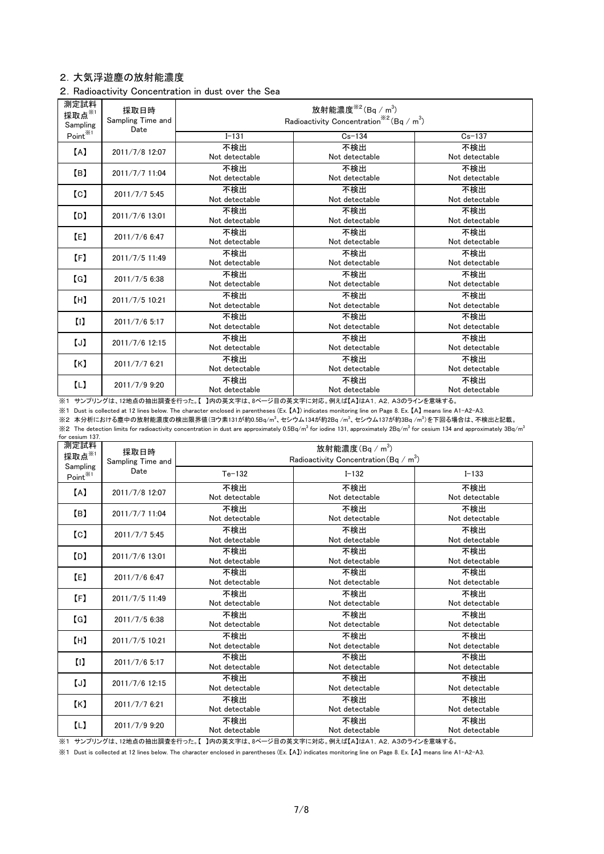## 2.大気浮遊塵の放射能濃度

## 2.Radioactivity Concentration in dust over the Sea

| 測定試料<br>採取点※1<br>Sampling | 採取日時<br>Sampling Time and<br>Date | 放射能濃度 $*^{2}$ (Bq / m <sup>3</sup> )<br>Radioactivity Concentration <sup>**2</sup> (Bq / m <sup>3</sup> ) |                       |                       |  |  |  |
|---------------------------|-----------------------------------|-----------------------------------------------------------------------------------------------------------|-----------------------|-----------------------|--|--|--|
| Point <sup>*/1</sup>      |                                   | $I - 131$                                                                                                 | $Cs - 134$            | $Cs - 137$            |  |  |  |
| [A]                       | 2011/7/8 12:07                    | 不検出<br>Not detectable                                                                                     | 不検出<br>Not detectable | 不検出<br>Not detectable |  |  |  |
| (B)                       | 2011/7/7 11:04                    | 不検出<br>Not detectable                                                                                     | 不検出<br>Not detectable | 不検出<br>Not detectable |  |  |  |
| $\lceil$ C $\rceil$       | 2011/7/7 5:45                     | 不検出<br>Not detectable                                                                                     | 不検出<br>Not detectable | 不検出<br>Not detectable |  |  |  |
| [D]                       | 2011/7/6 13:01                    | 不検出<br>Not detectable                                                                                     | 不検出<br>Not detectable | 不検出<br>Not detectable |  |  |  |
| (E)                       | 2011/7/6 6:47                     | 不検出<br>Not detectable                                                                                     | 不検出<br>Not detectable | 不検出<br>Not detectable |  |  |  |
| [F]                       | 2011/7/5 11:49                    | 不検出<br>Not detectable                                                                                     | 不検出<br>Not detectable | 不検出<br>Not detectable |  |  |  |
| $\lceil G \rceil$         | $2011/7/5$ 6:38                   | 不検出<br>Not detectable                                                                                     | 不検出<br>Not detectable | 不検出<br>Not detectable |  |  |  |
| (H)                       | 2011/7/5 10:21                    | 不検出<br>Not detectable                                                                                     | 不検出<br>Not detectable | 不検出<br>Not detectable |  |  |  |
| $\left( 1\right)$         | 2011/7/6 5:17                     | 不検出<br>Not detectable                                                                                     | 不検出<br>Not detectable | 不検出<br>Not detectable |  |  |  |
| $\cup$                    | 2011/7/6 12:15                    | 不検出<br>Not detectable                                                                                     | 不検出<br>Not detectable | 不検出<br>Not detectable |  |  |  |
| K                         | 2011/7/7 6:21                     | 不検出<br>Not detectable                                                                                     | 不検出<br>Not detectable | 不検出<br>Not detectable |  |  |  |
| (L)                       | 2011/7/9 9:20                     | 不検出<br>Not detectable                                                                                     | 不検出<br>Not detectable | 不検出<br>Not detectable |  |  |  |

※1 サンプリングは、12地点の抽出調査を行った。【 】内の英文字は、8ページ目の英文字に対応。例えば【A】はA1,A2,A3のラインを意味する。

※1 Dust is collected at 12 lines below. The character enclosed in parentheses (Ex. 【A】) indicates monitoring line on Page 8. Ex. 【A】 means line A1-A2-A3.

※2 本分析における塵中の放射能濃度の検出限界値(ヨウ素131が約0.5Bq/m<sup>3</sup>、セシウム134が約2Bq /m<sup>3</sup>、セシウム137が約3Bq /m<sup>3</sup>)を下回る場合は、不検出と記載。

 $\%$ 2 The detection limits for radioactivity concentration in dust are approximately 0.5Bq/m $^3$  for iodine 131, approximately 2Bq/m $^3$  for cesium 134 and approximately 3Bq/m $^3$ for cesium 137.

| 測定試料<br>採取点※1                   | 採取日時<br>Sampling Time and | 放射能濃度 $(Bq/m^3)$<br>Radioactivity Concentration (Bq / m <sup>3</sup> ) |                       |                       |  |  |  |  |
|---------------------------------|---------------------------|------------------------------------------------------------------------|-----------------------|-----------------------|--|--|--|--|
| Sampling<br>Point <sup>※1</sup> | Date                      | $Te-132$                                                               | $I - 132$             | $I - 133$             |  |  |  |  |
| [A]                             | 2011/7/8 12:07            | 不検出<br>Not detectable                                                  | 不検出<br>Not detectable | 不検出<br>Not detectable |  |  |  |  |
| [B]                             | 2011/7/7 11:04            | 不検出<br>Not detectable                                                  | 不検出<br>Not detectable | 不検出<br>Not detectable |  |  |  |  |
| $\lbrack c \rbrack$             | 2011/7/7 5:45             | 不検出<br>Not detectable                                                  | 不検出<br>Not detectable | 不検出<br>Not detectable |  |  |  |  |
| [D]                             | 2011/7/6 13:01            | 不検出<br>Not detectable                                                  | 不検出<br>Not detectable | 不検出<br>Not detectable |  |  |  |  |
| (E)                             | 2011/7/6 6:47             | 不検出<br>Not detectable                                                  | 不検出<br>Not detectable | 不検出<br>Not detectable |  |  |  |  |
| [F]                             | 2011/7/5 11:49            | 不検出<br>Not detectable                                                  | 不検出<br>Not detectable | 不検出<br>Not detectable |  |  |  |  |
| [G]                             | 2011/7/5 6:38             | 不検出<br>Not detectable                                                  | 不検出<br>Not detectable | 不検出<br>Not detectable |  |  |  |  |
| [H]                             | 2011/7/5 10:21            | 不検出<br>Not detectable                                                  | 不検出<br>Not detectable | 不検出<br>Not detectable |  |  |  |  |
| $\left($ <sub>I</sub>           | 2011/7/6 5:17             | 不検出<br>Not detectable                                                  | 不検出<br>Not detectable | 不検出<br>Not detectable |  |  |  |  |
| [J]                             | 2011/7/6 12:15            | 不検出<br>Not detectable                                                  | 不検出<br>Not detectable | 不検出<br>Not detectable |  |  |  |  |
| K                               | 2011/7/7 6:21             | 不検出<br>Not detectable                                                  | 不検出<br>Not detectable | 不検出<br>Not detectable |  |  |  |  |
| $\Box$                          | 2011/7/9 9:20             | 不検出<br>Not detectable                                                  | 不検出<br>Not detectable | 不検出<br>Not detectable |  |  |  |  |

。<br>※1 サンプリングは、12地点の抽出調査を行った。【 】内の英文字は、8ページ目の英文字に対応。例えば【A】はA1, A2, A3のラインを意味する。

※1 Dust is collected at 12 lines below. The character enclosed in parentheses (Ex. 【A】) indicates monitoring line on Page 8. Ex. 【A】 means line A1-A2-A3.